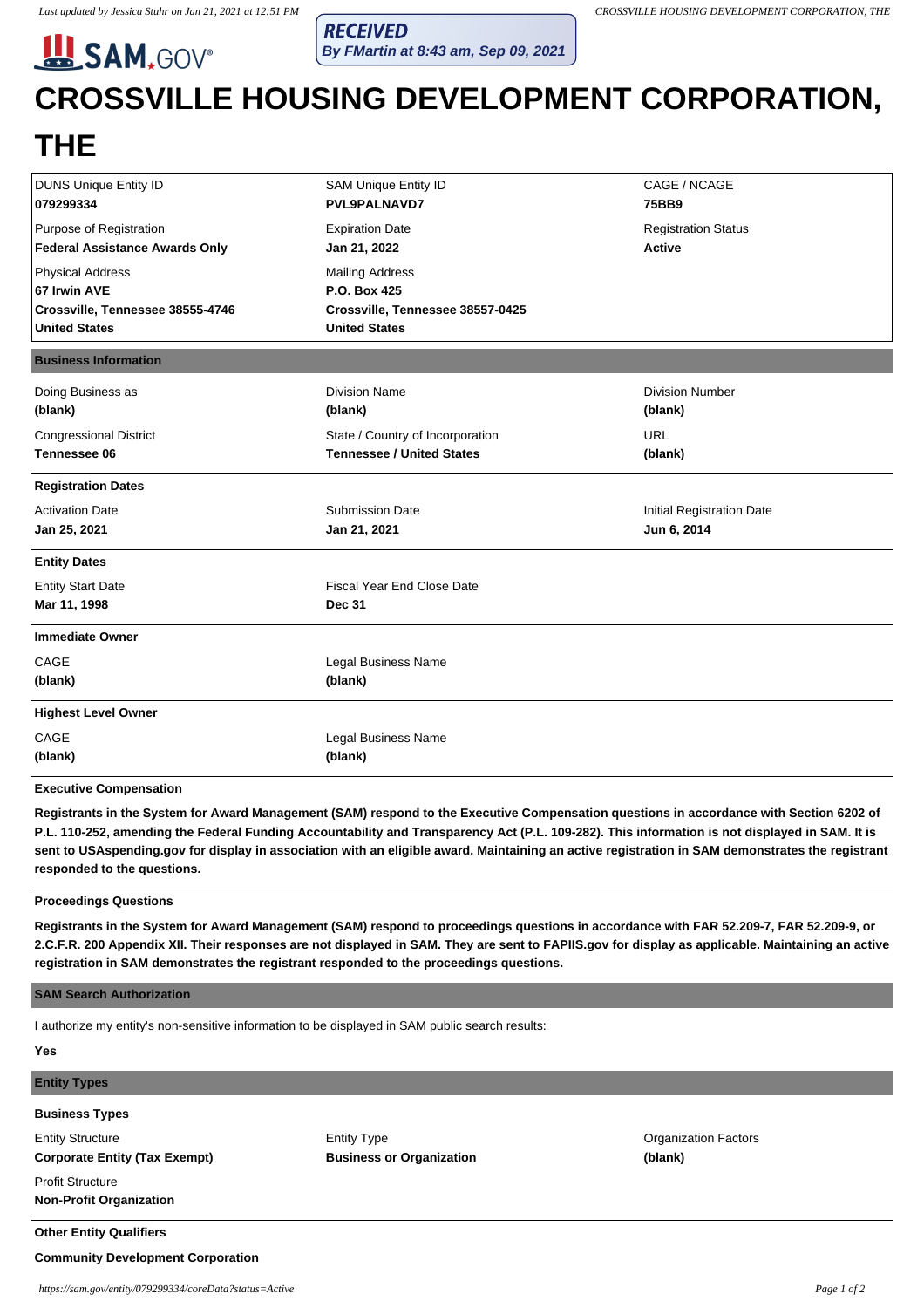**SAM.GOV®** 

**RECEIVED By FMartin at 8:43 am, Sep 09, 2021**

# **CROSSVILLE HOUSING DEVELOPMENT CORPORATION,**

## **THE**

| <b>DUNS Unique Entity ID</b>                          | <b>SAM Unique Entity ID</b>       | CAGE / NCAGE               |
|-------------------------------------------------------|-----------------------------------|----------------------------|
| 079299334                                             | <b>PVL9PALNAVD7</b>               | 75BB9                      |
| Purpose of Registration                               | <b>Expiration Date</b>            | <b>Registration Status</b> |
| <b>Federal Assistance Awards Only</b><br>Jan 21, 2022 |                                   | <b>Active</b>              |
| <b>Physical Address</b>                               | <b>Mailing Address</b>            |                            |
| 67 Irwin AVE                                          | P.O. Box 425                      |                            |
| Crossville, Tennessee 38555-4746                      | Crossville, Tennessee 38557-0425  |                            |
| <b>United States</b>                                  | <b>United States</b>              |                            |
| <b>Business Information</b>                           |                                   |                            |
| Doing Business as                                     | <b>Division Name</b>              | <b>Division Number</b>     |
| (blank)<br>(blank)                                    |                                   | (blank)                    |
| <b>Congressional District</b>                         | State / Country of Incorporation  | <b>URL</b>                 |
| <b>Tennessee 06</b>                                   | <b>Tennessee / United States</b>  | (blank)                    |
| <b>Registration Dates</b>                             |                                   |                            |
| <b>Activation Date</b>                                | <b>Submission Date</b>            | Initial Registration Date  |
| Jan 25, 2021<br>Jan 21, 2021                          |                                   | Jun 6, 2014                |
| <b>Entity Dates</b>                                   |                                   |                            |
| <b>Entity Start Date</b>                              | <b>Fiscal Year End Close Date</b> |                            |
| Mar 11, 1998<br><b>Dec 31</b>                         |                                   |                            |
| <b>Immediate Owner</b>                                |                                   |                            |
| CAGE                                                  | Legal Business Name               |                            |
| (blank)<br>(blank)                                    |                                   |                            |
| <b>Highest Level Owner</b>                            |                                   |                            |
|                                                       |                                   |                            |
| CAGE                                                  | Legal Business Name               |                            |

**Executive Compensation**

**Registrants in the System for Award Management (SAM) respond to the Executive Compensation questions in accordance with Section 6202 of P.L. 110-252, amending the Federal Funding Accountability and Transparency Act (P.L. 109-282). This information is not displayed in SAM. It is sent to USAspending.gov for display in association with an eligible award. Maintaining an active registration in SAM demonstrates the registrant responded to the questions.**

#### **Proceedings Questions**

**Registrants in the System for Award Management (SAM) respond to proceedings questions in accordance with FAR 52.209-7, FAR 52.209-9, or 2.C.F.R. 200 Appendix XII. Their responses are not displayed in SAM. They are sent to FAPIIS.gov for display as applicable. Maintaining an active registration in SAM demonstrates the registrant responded to the proceedings questions.**

#### **SAM Search Authorization**

I authorize my entity's non-sensitive information to be displayed in SAM public search results:

| <b>Yes</b>                           |                                 |                             |  |
|--------------------------------------|---------------------------------|-----------------------------|--|
| <b>Entity Types</b>                  |                                 |                             |  |
| <b>Business Types</b>                |                                 |                             |  |
| <b>Entity Structure</b>              | <b>Entity Type</b>              | <b>Organization Factors</b> |  |
| <b>Corporate Entity (Tax Exempt)</b> | <b>Business or Organization</b> | (blank)                     |  |
| <b>Profit Structure</b>              |                                 |                             |  |
| <b>Non-Profit Organization</b>       |                                 |                             |  |
| <b>Other Entity Qualifiers</b>       |                                 |                             |  |

### **Community Development Corporation**